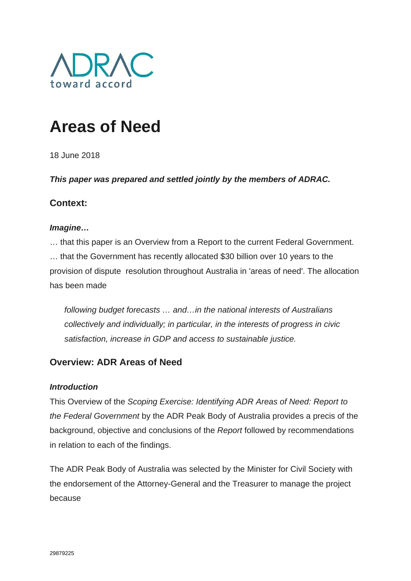

# **Areas of Need**

18 June 2018

*This paper was prepared and settled jointly by the members of ADRAC.*

# **Context:**

# *Imagine…*

… that this paper is an Overview from a Report to the current Federal Government. … that the Government has recently allocated \$30 billion over 10 years to the provision of dispute resolution throughout Australia in 'areas of need'. The allocation has been made

*following budget forecasts … and…in the national interests of Australians collectively and individually; in particular, in the interests of progress in civic satisfaction, increase in GDP and access to sustainable justice.*

# **Overview: ADR Areas of Need**

# *Introduction*

This Overview of the *Scoping Exercise: Identifying ADR Areas of Need: Report to the Federal Government* by the ADR Peak Body of Australia provides a precis of the background, objective and conclusions of the *Report* followed by recommendations in relation to each of the findings.

The ADR Peak Body of Australia was selected by the Minister for Civil Society with the endorsement of the Attorney-General and the Treasurer to manage the project because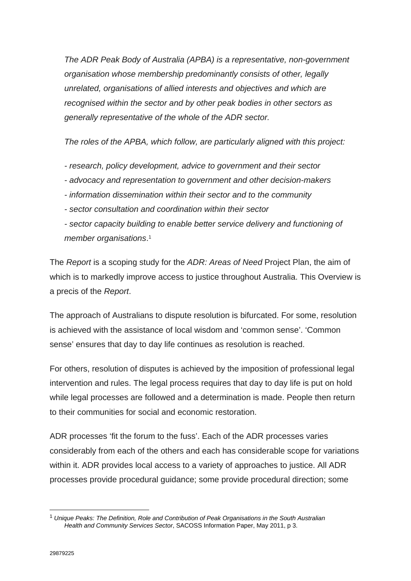*The ADR Peak Body of Australia (APBA) is a representative, non-government organisation whose membership predominantly consists of other, legally unrelated, organisations of allied interests and objectives and which are recognised within the sector and by other peak bodies in other sectors as generally representative of the whole of the ADR sector.*

*The roles of the APBA, which follow, are particularly aligned with this project:*

- *research, policy development, advice to government and their sector*
- *advocacy and representation to government and other decision-makers*
- *information dissemination within their sector and to the community*
- *sector consultation and coordination within their sector*
- *sector capacity building to enable better service delivery and functioning of member organisations*. 1

The *Report* is a scoping study for the *ADR: Areas of Need* Project Plan, the aim of which is to markedly improve access to justice throughout Australia. This Overview is a precis of the *Report*.

The approach of Australians to dispute resolution is bifurcated. For some, resolution is achieved with the assistance of local wisdom and 'common sense'. 'Common sense' ensures that day to day life continues as resolution is reached.

For others, resolution of disputes is achieved by the imposition of professional legal intervention and rules. The legal process requires that day to day life is put on hold while legal processes are followed and a determination is made. People then return to their communities for social and economic restoration.

ADR processes 'fit the forum to the fuss'. Each of the ADR processes varies considerably from each of the others and each has considerable scope for variations within it. ADR provides local access to a variety of approaches to justice. All ADR processes provide procedural guidance; some provide procedural direction; some

1

<sup>1</sup> *Unique Peaks: The Definition, Role and Contribution of Peak Organisations in the South Australian Health and Community Services Sector*, SACOSS Information Paper, May 2011, p 3.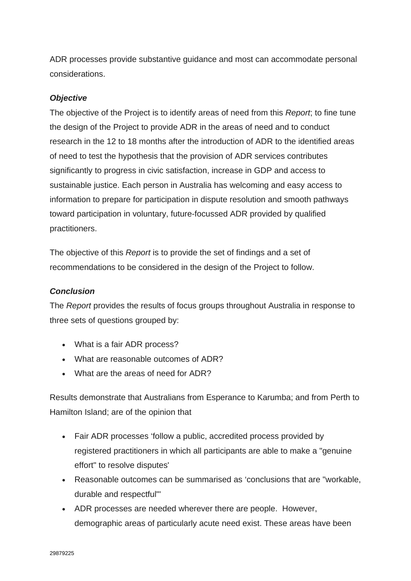ADR processes provide substantive guidance and most can accommodate personal considerations.

#### *Objective*

The objective of the Project is to identify areas of need from this *Report*; to fine tune the design of the Project to provide ADR in the areas of need and to conduct research in the 12 to 18 months after the introduction of ADR to the identified areas of need to test the hypothesis that the provision of ADR services contributes significantly to progress in civic satisfaction, increase in GDP and access to sustainable justice. Each person in Australia has welcoming and easy access to information to prepare for participation in dispute resolution and smooth pathways toward participation in voluntary, future-focussed ADR provided by qualified practitioners.

The objective of this *Report* is to provide the set of findings and a set of recommendations to be considered in the design of the Project to follow.

# *Conclusion*

The *Report* provides the results of focus groups throughout Australia in response to three sets of questions grouped by:

- What is a fair ADR process?
- What are reasonable outcomes of ADR?
- What are the areas of need for ADR?

Results demonstrate that Australians from Esperance to Karumba; and from Perth to Hamilton Island; are of the opinion that

- Fair ADR processes 'follow a public, accredited process provided by registered practitioners in which all participants are able to make a "genuine effort" to resolve disputes'
- Reasonable outcomes can be summarised as 'conclusions that are "workable, durable and respectful"'
- ADR processes are needed wherever there are people. However, demographic areas of particularly acute need exist. These areas have been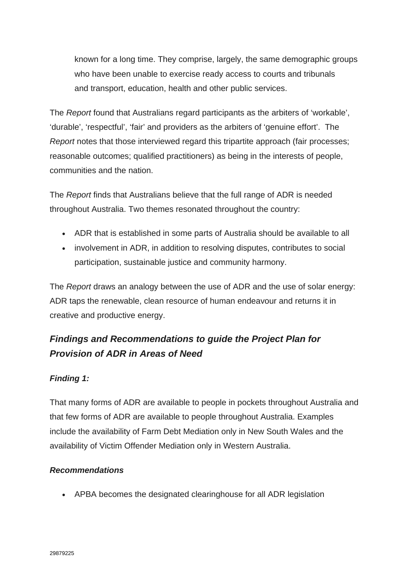known for a long time. They comprise, largely, the same demographic groups who have been unable to exercise ready access to courts and tribunals and transport, education, health and other public services.

The *Report* found that Australians regard participants as the arbiters of 'workable', 'durable', 'respectful', 'fair' and providers as the arbiters of 'genuine effort'. The *Report* notes that those interviewed regard this tripartite approach (fair processes; reasonable outcomes; qualified practitioners) as being in the interests of people, communities and the nation.

The *Report* finds that Australians believe that the full range of ADR is needed throughout Australia. Two themes resonated throughout the country:

- ADR that is established in some parts of Australia should be available to all
- involvement in ADR, in addition to resolving disputes, contributes to social participation, sustainable justice and community harmony.

The *Report* draws an analogy between the use of ADR and the use of solar energy: ADR taps the renewable, clean resource of human endeavour and returns it in creative and productive energy.

# *Findings and Recommendations to guide the Project Plan for Provision of ADR in Areas of Need*

# *Finding 1:*

That many forms of ADR are available to people in pockets throughout Australia and that few forms of ADR are available to people throughout Australia. Examples include the availability of Farm Debt Mediation only in New South Wales and the availability of Victim Offender Mediation only in Western Australia.

# *Recommendations*

• APBA becomes the designated clearinghouse for all ADR legislation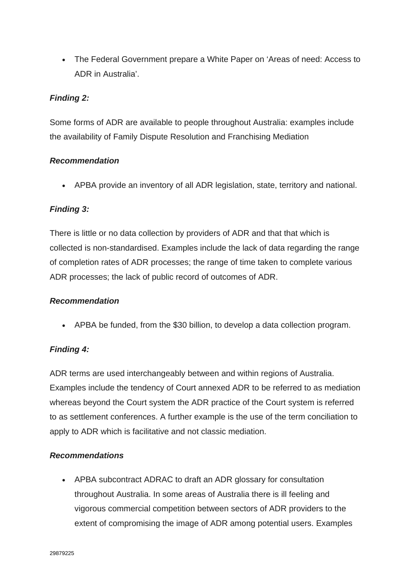• The Federal Government prepare a White Paper on 'Areas of need: Access to ADR in Australia'.

# *Finding 2:*

Some forms of ADR are available to people throughout Australia: examples include the availability of Family Dispute Resolution and Franchising Mediation

# *Recommendation*

• APBA provide an inventory of all ADR legislation, state, territory and national.

# *Finding 3:*

There is little or no data collection by providers of ADR and that that which is collected is non-standardised. Examples include the lack of data regarding the range of completion rates of ADR processes; the range of time taken to complete various ADR processes; the lack of public record of outcomes of ADR.

# *Recommendation*

• APBA be funded, from the \$30 billion, to develop a data collection program.

# *Finding 4:*

ADR terms are used interchangeably between and within regions of Australia. Examples include the tendency of Court annexed ADR to be referred to as mediation whereas beyond the Court system the ADR practice of the Court system is referred to as settlement conferences. A further example is the use of the term conciliation to apply to ADR which is facilitative and not classic mediation.

# *Recommendations*

• APBA subcontract ADRAC to draft an ADR glossary for consultation throughout Australia. In some areas of Australia there is ill feeling and vigorous commercial competition between sectors of ADR providers to the extent of compromising the image of ADR among potential users. Examples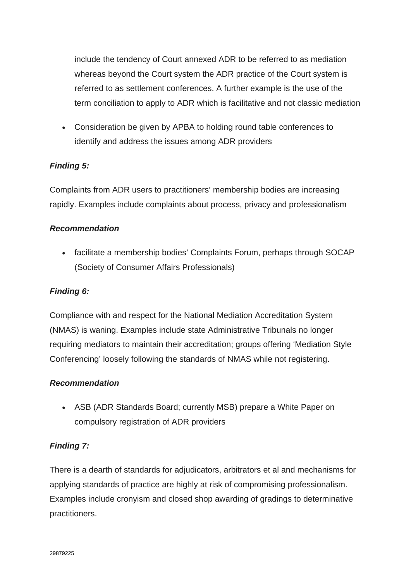include the tendency of Court annexed ADR to be referred to as mediation whereas beyond the Court system the ADR practice of the Court system is referred to as settlement conferences. A further example is the use of the term conciliation to apply to ADR which is facilitative and not classic mediation

• Consideration be given by APBA to holding round table conferences to identify and address the issues among ADR providers

# *Finding 5:*

Complaints from ADR users to practitioners' membership bodies are increasing rapidly. Examples include complaints about process, privacy and professionalism

# *Recommendation*

• facilitate a membership bodies' Complaints Forum, perhaps through SOCAP (Society of Consumer Affairs Professionals)

# *Finding 6:*

Compliance with and respect for the National Mediation Accreditation System (NMAS) is waning. Examples include state Administrative Tribunals no longer requiring mediators to maintain their accreditation; groups offering 'Mediation Style Conferencing' loosely following the standards of NMAS while not registering.

#### *Recommendation*

• ASB (ADR Standards Board; currently MSB) prepare a White Paper on compulsory registration of ADR providers

#### *Finding 7:*

There is a dearth of standards for adjudicators, arbitrators et al and mechanisms for applying standards of practice are highly at risk of compromising professionalism. Examples include cronyism and closed shop awarding of gradings to determinative practitioners.